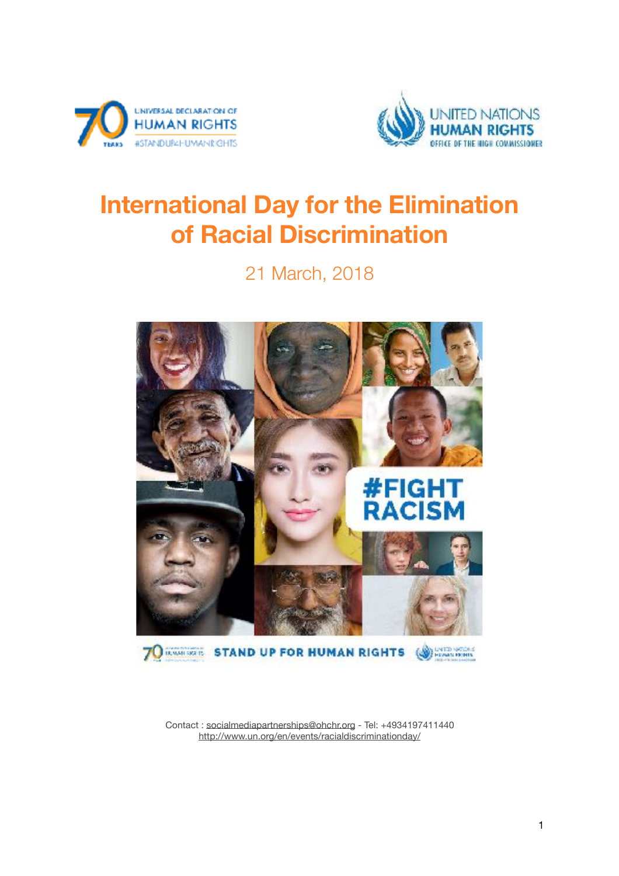



# **International Day for the Elimination of Racial Discrimination**

21 March, 2018



Contact : [socialmediapartnerships@ohchr.org](mailto:socialmediapartnerships@ohchr.org) - Tel: +4934197411440 <http://www.un.org/en/events/racialdiscriminationday/>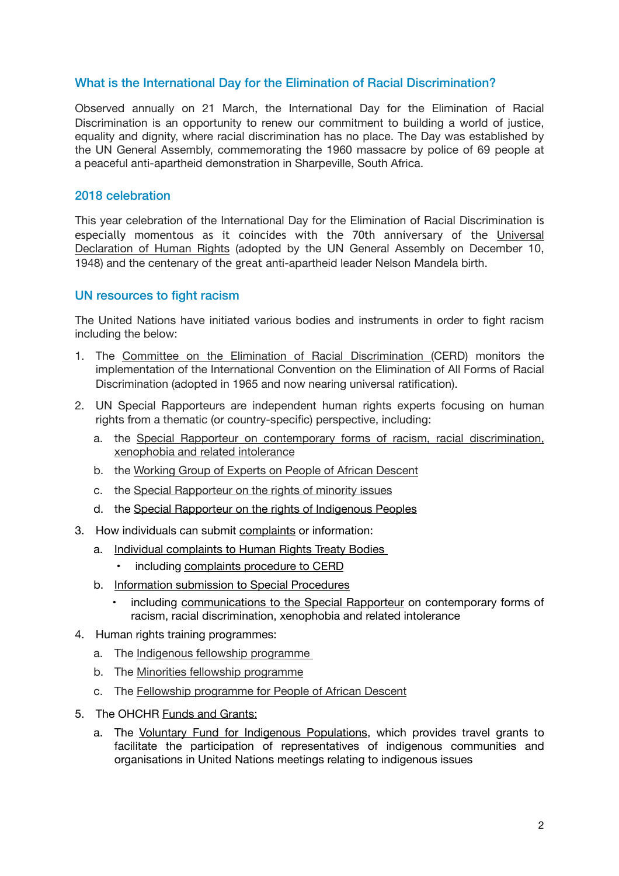# What is the International Day for the Elimination of Racial Discrimination?

Observed annually on 21 March, the International Day for the Elimination of Racial Discrimination is an opportunity to renew our commitment to building a world of justice, equality and dignity, where racial discrimination has no place. The Day was established by the UN General Assembly, commemorating the 1960 massacre by police of 69 people at a peaceful anti-apartheid demonstration in Sharpeville, South Africa.

## 2018 celebration

This year celebration of the International Day for the Elimination of Racial Discrimination is especially momentous as it coincides with the 70th anniversary of the [Universal](http://www.un.org/en/universal-declaration-human-rights/) [Declaration of Human Rights](http://www.un.org/en/universal-declaration-human-rights/) (adopted by the UN General Assembly on December 10, 1948) and the centenary of the great anti-apartheid leader Nelson Mandela birth.

### <span id="page-1-0"></span>UN resources to fight racism

The United Nations have initiated various bodies and instruments in order to fight racism including the below:

- 1. The [Committee on the Elimination of Racial Discrimination](http://www.ohchr.org/EN/HRBodies/CERD/Pages/CERDIndex.aspx) (CERD) monitors the implementation of the International Convention on the Elimination of All Forms of Racial Discrimination (adopted in 1965 and now nearing universal ratification).
- 2. UN Special Rapporteurs are independent human rights experts focusing on human rights from a thematic (or country-specific) perspective, including:
	- a. [the Special Rapporteur on contemporary forms of racism, racial discrimination,](http://www.ohchr.org/EN/Issues/Racism/SRRacism/Pages/IndexSRRacism.aspx) [xenophobia and related intolerance](http://www.ohchr.org/EN/Issues/Racism/SRRacism/Pages/IndexSRRacism.aspx)
	- b. the [Working Group of Experts on People of African Descent](http://www.ohchr.org/EN/Issues/Racism/WGAfricanDescent/Pages/WGEPADIndex.aspx)
	- c. the [Special Rapporteur on the rights of minority issues](http://www.ohchr.org/EN/Issues/Minorities/SRMinorities/Pages/SRminorityissuesIndex.aspx)
	- d. the [Special Rapporteur on the rights of Indigenous Peoples](http://www.ohchr.org/EN/Issues/IPeoples/SRIndigenousPeoples/Pages/SRIPeoplesIndex.aspx)
- 3. How individuals can submit [complaints](http://www.ohchr.org/EN/HRBodies/Pages/TBComplaints.aspx) or information:
	- a. Individual complaints to Human Rights Treaty Bodies
		- including [complaints procedure to CERD](http://www.ohchr.org/EN/HRBodies/CERD/Pages/CERDIndex.aspx)
	- b. [Information submission to Special Procedures](http://www.ohchr.org/EN/HRBodies/SP/Pages/Communications.aspx)
		- including [communications to the Special Rapporteur](http://www.ohchr.org/EN/Issues/Racism/SRRacism/Pages/IndividualComplaints.aspx) on contemporary forms of racism, racial discrimination, xenophobia and related intolerance
- 4. Human rights training programmes:
	- a. The [Indigenous fellowship programme](http://www.ohchr.org/EN/Issues/IPeoples/Pages/Fellowship.aspx)
	- b. The [Minorities fellowship programme](http://www.ohchr.org/EN/Issues/Minorities/Pages/Fellowship.aspx)
	- c. The [Fellowship programme for People of African Descent](http://www.ohchr.org/EN/Issues/Racism/WGAfricanDescent/Pages/FellowshipProgramme.aspx)
- 5. The OHCHR [Funds and Grants:](http://www.ohchr.org/EN/AboutUs/Pages/FundsAndGrants.aspx)
	- a. The [Voluntary Fund for Indigenous Populations](http://www.ohchr.org/EN/Issues/IPeoples/IPeoplesFund/Pages/IPeoplesFundIndex.aspx), which provides travel grants to facilitate the participation of representatives of indigenous communities and organisations in United Nations meetings relating to indigenous issues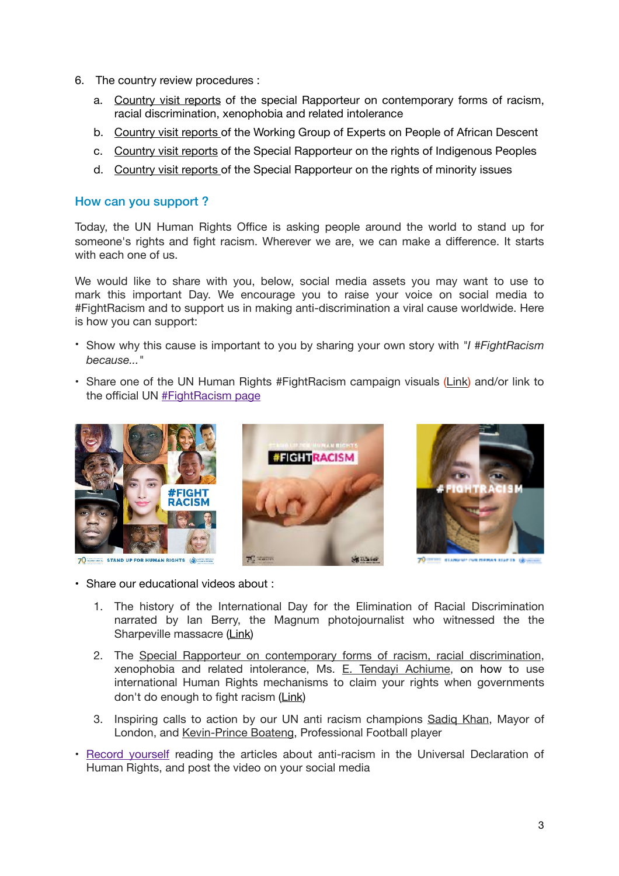- 6. The country review procedures :
	- a. [Country visit reports](http://www.ohchr.org/EN/Issues/Racism/SRRacism/Pages/CountryVisits.aspx) of the special Rapporteur on contemporary forms of racism, racial discrimination, xenophobia and related intolerance
	- b. [Country visit reports](http://www.ohchr.org/EN/Issues/Racism/WGAfricanDescent/Pages/CountryVisits.aspx) of the Working Group of Experts on People of African Descent
	- c. [Country visit reports](http://www.ohchr.org/EN/Issues/IPeoples/SRIndigenousPeoples/Pages/CountryReports.aspx) of the Special Rapporteur on the rights of Indigenous Peoples
	- d. [Country visit reports](http://www.ohchr.org/EN/Issues/Minorities/SRMinorities/Pages/visits.aspx) of the Special Rapporteur on the rights of minority issues

#### How can you support ?

Today, the UN Human Rights Office is asking people around the world to stand up for someone's rights and fight racism. Wherever we are, we can make a difference. It starts with each one of us.

We would like to share with you, below, social media assets you may want to use to mark this important Day. We encourage you to raise your voice on social media to #FightRacism and to support us in making anti-discrimination a viral cause worldwide. Here is how you can support:

- Show why this cause is important to you by sharing your own story with *"I #FightRacism because..."*
- Share one of the UN Human Rights #FightRacism campaign visuals [\(Link\)](https://trello.com/c/st6P7SRG/321-international-day-for-the-elimination-of-racial-discrimination) and/or link to the official UN [#FightRacism page](http://www.un.org/en/events/racialdiscriminationday/)



**WHEE** STAND UP FOR HUMAN RIGHTS **ONE THE** 





**70 DETER STANDED** 

- Share our educational videos about :
	- 1. The history of the International Day for the Elimination of Racial Discrimination narrated by Ian Berry, the Magnum photojournalist who witnessed the the Sharpeville massacre [\(Link\)](https://www.youtube.com/watch?v=fTcIEmgRkUY&feature=youtu.be)
	- 2. The [Special Rapporteur on contemporary forms of racism, racial discrimination](http://www.ohchr.org/EN/Issues/Racism/SRRacism/Pages/IndexSRRacism.aspx), xenophobia and related intolerance, Ms. [E. Tendayi Achiume,](http://www.ohchr.org/EN/Issues/Racism/SRRacism/Pages/CurrentMandateHolder.aspx) on how to use international Human Rights mechanisms to claim your rights when governments don't do enough to fight racism [\(Link\)](https://trello.com/c/st6P7SRG/321-international-day-for-the-elimination-of-racial-discrimination)
	- 3. Inspiring calls to action by our UN anti racism champions [Sadiq Khan,](http://standup4humanrights.org/en/hr-champions-skhan.html) Mayor of London, and [Kevin-Prince Boateng](http://standup4humanrights.org/en/hr-champions-kboateng.html), Professional Football player
- [Record yourself](https://www.un.org/en/udhr-video/) reading the articles about anti-racism in the Universal Declaration of Human Rights, and post the video on your social media